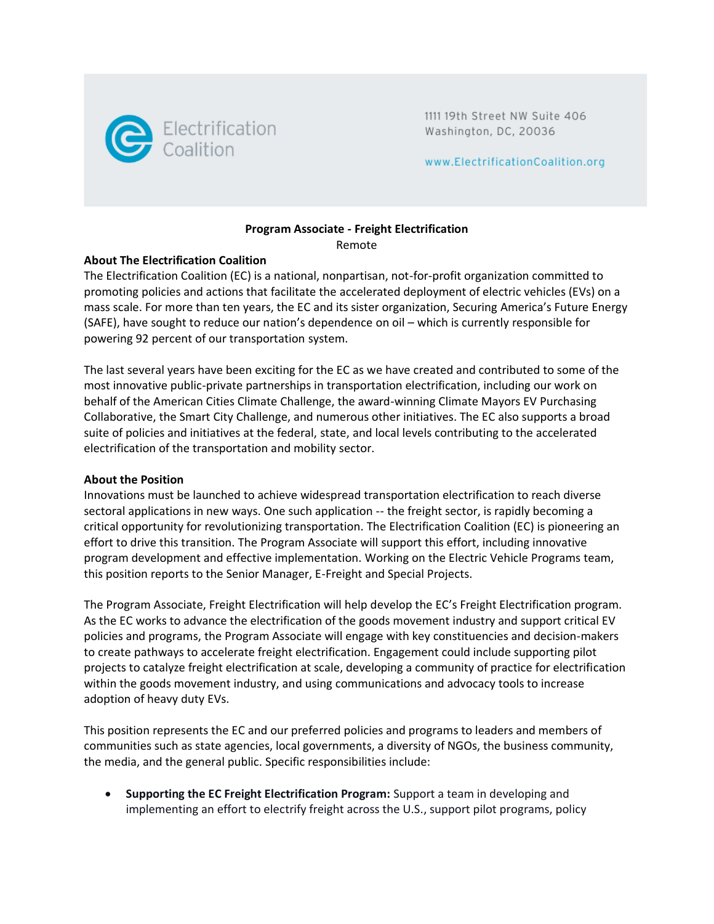

1111 19th Street NW Suite 406 Washington, DC, 20036

www.ElectrificationCoalition.org

# **Program Associate - Freight Electrification**

Remote

## **About The Electrification Coalition**

The Electrification Coalition (EC) is a national, nonpartisan, not-for-profit organization committed to promoting policies and actions that facilitate the accelerated deployment of electric vehicles (EVs) on a mass scale. For more than ten years, the EC and its sister organization, Securing America's Future Energy (SAFE), have sought to reduce our nation's dependence on oil – which is currently responsible for powering 92 percent of our transportation system.

The last several years have been exciting for the EC as we have created and contributed to some of the most innovative public-private partnerships in transportation electrification, including our work on behalf of the American Cities Climate Challenge, the award-winning Climate Mayors EV Purchasing Collaborative, the Smart City Challenge, and numerous other initiatives. The EC also supports a broad suite of policies and initiatives at the federal, state, and local levels contributing to the accelerated electrification of the transportation and mobility sector.

## **About the Position**

Innovations must be launched to achieve widespread transportation electrification to reach diverse sectoral applications in new ways. One such application -- the freight sector, is rapidly becoming a critical opportunity for revolutionizing transportation. The Electrification Coalition (EC) is pioneering an effort to drive this transition. The Program Associate will support this effort, including innovative program development and effective implementation. Working on the Electric Vehicle Programs team, this position reports to the Senior Manager, E-Freight and Special Projects.

The Program Associate, Freight Electrification will help develop the EC's Freight Electrification program. As the EC works to advance the electrification of the goods movement industry and support critical EV policies and programs, the Program Associate will engage with key constituencies and decision-makers to create pathways to accelerate freight electrification. Engagement could include supporting pilot projects to catalyze freight electrification at scale, developing a community of practice for electrification within the goods movement industry, and using communications and advocacy tools to increase adoption of heavy duty EVs.

This position represents the EC and our preferred policies and programs to leaders and members of communities such as state agencies, local governments, a diversity of NGOs, the business community, the media, and the general public. Specific responsibilities include:

• **Supporting the EC Freight Electrification Program:** Support a team in developing and implementing an effort to electrify freight across the U.S., support pilot programs, policy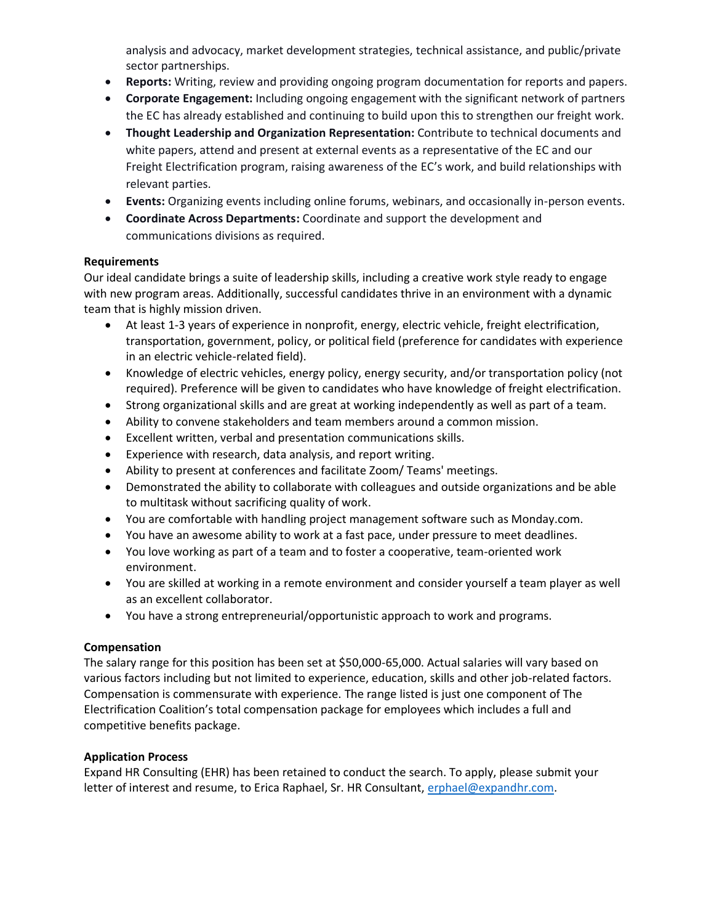analysis and advocacy, market development strategies, technical assistance, and public/private sector partnerships.

- **Reports:** Writing, review and providing ongoing program documentation for reports and papers.
- **Corporate Engagement:** Including ongoing engagement with the significant network of partners the EC has already established and continuing to build upon this to strengthen our freight work.
- **Thought Leadership and Organization Representation:** Contribute to technical documents and white papers, attend and present at external events as a representative of the EC and our Freight Electrification program, raising awareness of the EC's work, and build relationships with relevant parties.
- **Events:** Organizing events including online forums, webinars, and occasionally in-person events.
- **Coordinate Across Departments:** Coordinate and support the development and communications divisions as required.

#### **Requirements**

Our ideal candidate brings a suite of leadership skills, including a creative work style ready to engage with new program areas. Additionally, successful candidates thrive in an environment with a dynamic team that is highly mission driven.

- At least 1-3 years of experience in nonprofit, energy, electric vehicle, freight electrification, transportation, government, policy, or political field (preference for candidates with experience in an electric vehicle-related field).
- Knowledge of electric vehicles, energy policy, energy security, and/or transportation policy (not required). Preference will be given to candidates who have knowledge of freight electrification.
- Strong organizational skills and are great at working independently as well as part of a team.
- Ability to convene stakeholders and team members around a common mission.
- Excellent written, verbal and presentation communications skills.
- Experience with research, data analysis, and report writing.
- Ability to present at conferences and facilitate Zoom/ Teams' meetings.
- Demonstrated the ability to collaborate with colleagues and outside organizations and be able to multitask without sacrificing quality of work.
- You are comfortable with handling project management software such as Monday.com.
- You have an awesome ability to work at a fast pace, under pressure to meet deadlines.
- You love working as part of a team and to foster a cooperative, team-oriented work environment.
- You are skilled at working in a remote environment and consider yourself a team player as well as an excellent collaborator.
- You have a strong entrepreneurial/opportunistic approach to work and programs.

## **Compensation**

The salary range for this position has been set at \$50,000-65,000. Actual salaries will vary based on various factors including but not limited to experience, education, skills and other job-related factors. Compensation is commensurate with experience. The range listed is just one component of The Electrification Coalition's total compensation package for employees which includes a full and competitive benefits package.

## **Application Process**

Expand HR Consulting (EHR) has been retained to conduct the search. To apply, please submit your letter of interest and resume, to Erica Raphael, Sr. HR Consultant, [erphael@expandhr.com.](mailto:erphael@expandhr.com)